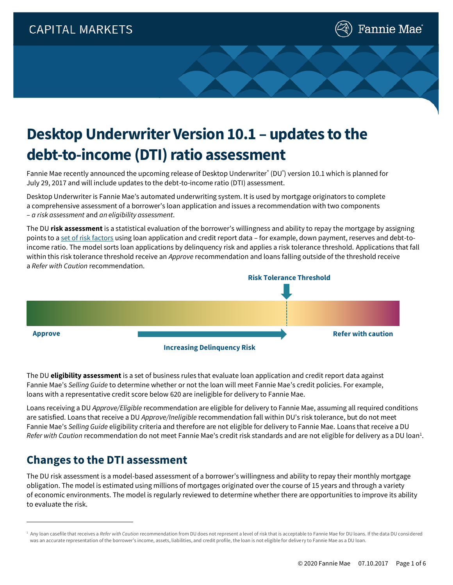

# **Desktop Underwriter Version 10.1 – updates to the debt-to-income (DTI) ratio assessment**

Fannie Mae recently announced the upcoming release of Desktop Underwriter® (DU®) version 10.1 which is planned for July 29, 2017 and will include updates to the debt-to-income ratio (DTI) assessment.

Desktop Underwriter is Fannie Mae's automated underwriting system. It is used by mortgage originators to complete a comprehensive assessment of a borrower's loan application and issues a recommendation with two components – *a risk assessment* and *an eligibility assessment*.

The DU **risk assessment** is a statistical evaluation of the borrower's willingness and ability to repay the mortgage by assigning points to [a set of risk factors](https://www.fanniemae.com/content/guide/selling/b3/2/03.html) using loan application and credit report data – for example, down payment, reserves and debt-toincome ratio. The model sorts loan applications by delinquency risk and applies a risk tolerance threshold. Applications that fall within this risk tolerance threshold receive an *Approve* recommendation and loans falling outside of the threshold receive a *Refer with Caution* recommendation.



The DU **eligibility assessment** is a set of business rules that evaluate loan application and credit report data against Fannie Mae's *Selling Guide* to determine whether or not the loan will meet Fannie Mae's credit policies. For example, loans with a representative credit score below 620 are ineligible for delivery to Fannie Mae.

Loans receiving a DU *Approve/Eligible* recommendation are eligible for delivery to Fannie Mae, assuming all required conditions are satisfied. Loans that receive a DU *Approve/Ineligible* recommendation fall within DU's risk tolerance, but do not meet Fannie Mae's *Selling Guide* eligibility criteria and therefore are not eligible for delivery to Fannie Mae. Loans that receive a DU *Refer with Caution* recommendation do not meet Fannie Mae's credit risk standards and are not eligible for delivery as a DU loan<sup>1</sup>.

## **Changes to the DTI assessment**

The DU risk assessment is a model-based assessment of a borrower's willingness and ability to repay their monthly mortgage obligation. The model is estimated using millions of mortgages originated over the course of 15 years and through a variety of economic environments. The model is regularly reviewed to determine whether there are opportunities to improve its ability to evaluate the risk.

<sup>&</sup>lt;sup>1</sup> Any loan casefile that receives a *Refer with Caution* recommendation from DU does not represent a level of risk that is acceptable to Fannie Mae for DU loans. If the data DU considered was an accurate representation of the borrower's income, assets, liabilities, and credit profile, the loan is not eligible for delivery to Fannie Mae as a DU loan.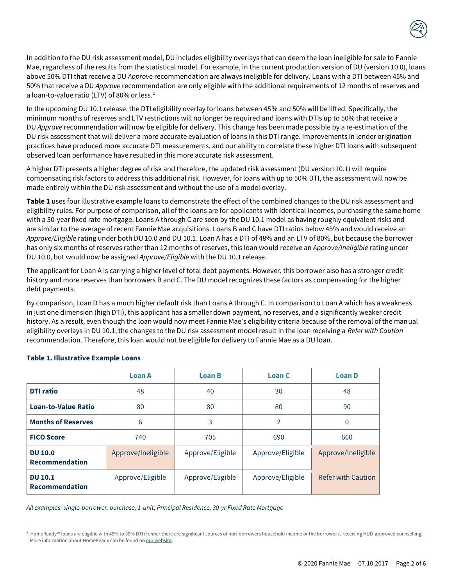

In addition to the DU risk assessment model, DU includes eligibility overlays that can deem the loan ineligible for sale to Fannie Mae, regardless of the results from the statistical model. For example, in the current production version of DU (version 10.0), loans above 50% DTI that receive a DU *Approve* recommendation are always ineligible for delivery. Loans with a DTI between 45% and 50% that receive a DU *Approve* recommendation are only eligible with the additional requirements of 12 months of reserves and a loan-to-value ratio (LTV) of 80% or less.<sup>2</sup>

In the upcoming DU 10.1 release, the DTI eligibility overlay for loans between 45% and 50% will be lifted. Specifically, the minimum months of reserves and LTV restrictions will no longer be required and loans with DTIs up to 50% that receive a DU *Approve* recommendation will now be eligible for delivery. This change has been made possible by a re-estimation of the DU risk assessment that will deliver a more accurate evaluation of loans in this DTI range. Improvements in lender origination practices have produced more accurate DTI measurements, and our ability to correlate these higher DTI loans with subsequent observed loan performance have resulted in this more accurate risk assessment.

A higher DTI presents a higher degree of risk and therefore, the updated risk assessment (DU version 10.1) will require compensating risk factors to address this additional risk. However, for loans with up to 50% DTI, the assessment will now be made entirely within the DU risk assessment and without the use of a model overlay.

**Table 1** uses four illustrative example loans to demonstrate the effect of the combined changes to the DU risk assessment and eligibility rules. For purpose of comparison, all of the loans are for applicants with identical incomes, purchasing the same home with a 30-year fixed rate mortgage. Loans A through C are seen by the DU 10.1 model as having roughly equivalent risks and are similar to the average of recent Fannie Mae acquisitions. Loans B and C have DTI ratios below 45% and would receive an *Approve/Eligible* rating under both DU 10.0 and DU 10.1. Loan A has a DTI of 48% and an LTV of 80%, but because the borrower has only six months of reserves rather than 12 months of reserves, this loan would receive an *Approve/Ineligible* rating under DU 10.0, but would now be assigned *Approve/Eligible* with the DU 10.1 release.

The applicant for Loan A is carrying a higher level of total debt payments. However, this borrower also has a stronger credit history and more reserves than borrowers B and C. The DU model recognizes these factors as compensating for the higher debt payments.

By comparison, Loan D has a much higher default risk than Loans A through C. In comparison to Loan A which has a weakness in just one dimension (high DTI), this applicant has a smaller down payment, no reserves, and a significantly weaker credit history. As a result, even though the loan would now meet Fannie Mae's eligibility criteria because of the removal of the manual eligibility overlays in DU 10.1, the changes to the DU risk assessment model result in the loan receiving a *Refer with Caution* recommendation. Therefore, this loan would not be eligible for delivery to Fannie Mae as a DU loan.

|                                         | <b>Loan A</b>      | <b>Loan B</b>    | <b>Loan C</b>    | <b>Loan D</b>             |
|-----------------------------------------|--------------------|------------------|------------------|---------------------------|
| <b>DTI</b> ratio                        | 48                 | 40               | 30               | 48                        |
| <b>Loan-to-Value Ratio</b>              | 80                 | 80               | 80               | 90                        |
| <b>Months of Reserves</b>               | 6                  | 3                | $\overline{2}$   | $\mathbf{0}$              |
| <b>FICO Score</b>                       | 740                | 705              | 690              | 660                       |
| <b>DU 10.0</b><br><b>Recommendation</b> | Approve/Ineligible | Approve/Eligible | Approve/Eligible | Approve/Ineligible        |
| <b>DU 10.1</b><br><b>Recommendation</b> | Approve/Eligible   | Approve/Eligible | Approve/Eligible | <b>Refer with Caution</b> |

#### **Table 1. Illustrative Example Loans**

*All examples: single-borrower, purchase, 1-unit, Principal Residence, 30-yr Fixed Rate Mortgage*

<sup>2</sup> HomeReady™ loans are eligible with 45% to 50% DTI if *either* there are significant sources of non-borrowers household income *or* the borrower is receiving HUD-approved counselling. More information about HomeReady can be found on [our website.](https://www.fanniemae.com/singlefamily/homeready)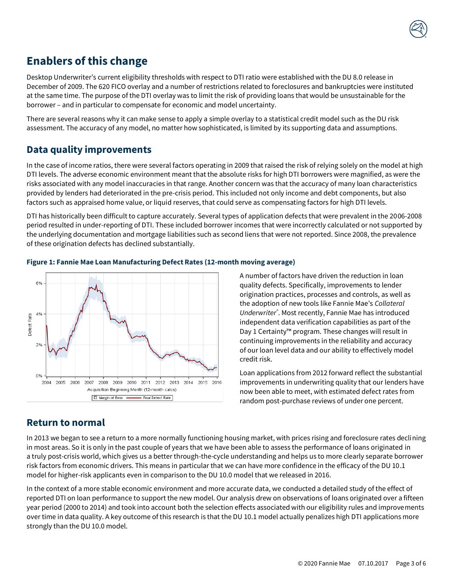

## **Enablers of this change**

Desktop Underwriter's current eligibility thresholds with respect to DTI ratio were established with the DU 8.0 release in December of 2009. The 620 FICO overlay and a number of restrictions related to foreclosures and bankruptcies were instituted at the same time. The purpose of the DTI overlay was to limit the risk of providing loans that would be unsustainable for the borrower – and in particular to compensate for economic and model uncertainty.

There are several reasons why it can make sense to apply a simple overlay to a statistical credit model such as the DU risk assessment. The accuracy of any model, no matter how sophisticated, is limited by its supporting data and assumptions.

### **Data quality improvements**

In the case of income ratios, there were several factors operating in 2009 that raised the risk of relying solely on the model at high DTI levels. The adverse economic environment meant that the absolute risks for high DTI borrowers were magnified, as were the risks associated with any model inaccuracies in that range. Another concern was that the accuracy of many loan characteristics provided by lenders had deteriorated in the pre-crisis period. This included not only income and debt components, but also factors such as appraised home value, or liquid reserves, that could serve as compensating factors for high DTI levels.

DTI has historically been difficult to capture accurately. Several types of application defects that were prevalent in the 2006-2008 period resulted in under-reporting of DTI. These included borrower incomes that were incorrectly calculated or not supported by the underlying documentation and mortgage liabilities such as second liens that were not reported. Since 2008, the prevalence of these origination defects has declined substantially.

#### **Figure 1: Fannie Mae Loan Manufacturing Defect Rates (12-month moving average)**



A number of factors have driven the reduction in loan quality defects. Specifically, improvements to lender origination practices, processes and controls, as well as the adoption of new tools like Fannie Mae's *Collateral Underwriter®* . Most recently, Fannie Mae has introduced independent data verification capabilities as part of the Day 1 Certainty™ program. These changes will result in continuing improvements in the reliability and accuracy of our loan level data and our ability to effectively model credit risk.

Loan applications from 2012 forward reflect the substantial improvements in underwriting quality that our lenders have now been able to meet, with estimated defect rates from random post-purchase reviews of under one percent.

#### **Return to normal**

In 2013 we began to see a return to a more normally functioning housing market, with prices rising and foreclosure rates declining in most areas. So it is only in the past couple of years that we have been able to assess the performance of loans originated in a truly post-crisis world, which gives us a better through-the-cycle understanding and helps us to more clearly separate borrower risk factors from economic drivers. This means in particular that we can have more confidence in the efficacy of the DU 10.1 model for higher-risk applicants even in comparison to the DU 10.0 model that we released in 2016.

In the context of a more stable economic environment and more accurate data, we conducted a detailed study of the effect of reported DTI on loan performance to support the new model. Our analysis drew on observations of loans originated over a fifteen year period (2000 to 2014) and took into account both the selection effects associated with our eligibility rules and improvements over time in data quality. A key outcome of this research is that the DU 10.1 model actually penalizes high DTI applications more strongly than the DU 10.0 model.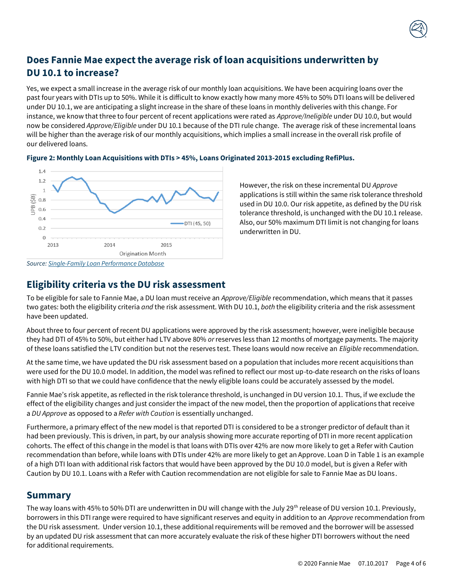### **Does Fannie Mae expect the average risk of loan acquisitions underwritten by DU 10.1 to increase?**

Yes, we expect a small increase in the average risk of our monthly loan acquisitions. We have been acquiring loans over the past four years with DTIs up to 50%. While it is difficult to know exactly how many more 45% to 50% DTI loans will be delivered under DU 10.1, we are anticipating a slight increase in the share of these loans in monthly deliveries with this change. For instance, we know that three to four percent of recent applications were rated as *Approve/Ineligible* under DU 10.0, but would now be considered *Approve/Eligible* under DU 10.1 because of the DTI rule change. The average risk of these incremental loans will be higher than the average risk of our monthly acquisitions, which implies a small increase in the overall risk profile of our delivered loans.



**Figure 2: Monthly Loan Acquisitions with DTIs > 45%, Loans Originated 2013-2015 excluding RefiPlus.**

However, the risk on these incremental DU *Approve* applications is still within the same risk tolerance threshold used in DU 10.0. Our risk appetite, as defined by the DU risk tolerance threshold, is unchanged with the DU 10.1 release. Also, our 50% maximum DTI limit is not changing for loans underwritten in DU.

### **Eligibility criteria vs the DU risk assessment**

To be eligible for sale to Fannie Mae, a DU loan must receive an *Approve/Eligible* recommendation, which means that it passes two gates: both the eligibility criteria *and* the risk assessment. With DU 10.1, *both* the eligibility criteria and the risk assessment have been updated.

About three to four percent of recent DU applications were approved by the risk assessment; however, were ineligible because they had DTI of 45% to 50%, but either had LTV above 80% *or* reserves less than 12 months of mortgage payments. The majority of these loans satisfied the LTV condition but not the reserves test. These loans would now receive an *Eligible* recommendation.

At the same time, we have updated the DU risk assessment based on a population that includes more recent acquisitions than were used for the DU 10.0 model. In addition, the model was refined to reflect our most up-to-date research on the risks of loans with high DTI so that we could have confidence that the newly eligible loans could be accurately assessed by the model.

Fannie Mae's risk appetite, as reflected in the risk tolerance threshold, is unchanged in DU version 10.1. Thus, if we exclude the effect of the eligibility changes and just consider the impact of the new model, then the proportion of applications that receive a *DU Approve* as opposed to a *Refer with Caution* is essentially unchanged.

Furthermore, a primary effect of the new model is that reported DTI is considered to be a stronger predictor of default than it had been previously. This is driven, in part, by our analysis showing more accurate reporting of DTI in more recent application cohorts. The effect of this change in the model is that loans with DTIs over 42% are now more likely to get a Refer with Caution recommendation than before, while loans with DTIs under 42% are more likely to get an Approve. Loan D in Table 1 is an example of a high DTI loan with additional risk factors that would have been approved by the DU 10.0 model, but is given a Refer with Caution by DU 10.1. Loans with a Refer with Caution recommendation are not eligible for sale to Fannie Mae as DU loans.

#### **Summary**

The way loans with 45% to 50% DTI are underwritten in DU will change with the July 29<sup>th</sup> release of DU version 10.1. Previously, borrowers in this DTI range were required to have significant reserves and equity in addition to an *Approve* recommendation from the DU risk assessment. Under version 10.1, these additional requirements will be removed and the borrower will be assessed by an updated DU risk assessment that can more accurately evaluate the risk of these higher DTI borrowers without the need for additional requirements.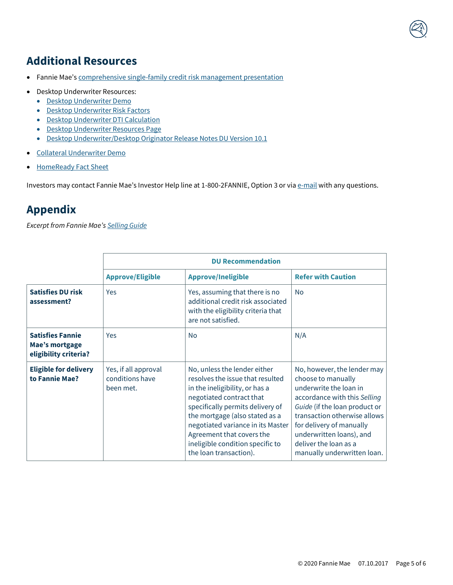# **Additional Resources**

- Fannie Mae's [comprehensive single-family credit risk management presentation](http://www.fanniemae.com/resources/file/credit-risk/pdf/credit-risk-mgt-deck.pdf)
- Desktop Underwriter Resources:
	- [Desktop Underwriter Demo](https://youtu.be/gHnKCGkwvc4)
	- [Desktop Underwriter Risk Factors](https://www.fanniemae.com/content/guide/selling/b3/2/03.html)
	- [Desktop Underwriter DTI Calculation](https://www.fanniemae.com/content/guide/selling/b3/6/02.html)
	- [Desktop Underwriter Resources Page](https://www.fanniemae.com/singlefamily/desktop-underwriter)
	- [Desktop Underwriter/Desktop Originator Release Notes DU Version 10.1](https://static1.squarespace.com/static/542edcd4e4b0172b629a861f/t/593ebe3c6b8f5b4e85d1460a/1497284156767/du-do-release-notes-07292017.pdf)
- [Collateral Underwriter Demo](https://youtu.be/zl7wquLPqx8)
- [HomeReady Fact Sheet](https://www.fanniemae.com/content/fact_sheet/homeready-overview.pdf)

Investors may contact Fannie Mae's Investor Help line at 1-800-2FANNIE, Option 3 or vi[a e-mail](http://www.fanniemae.com/portal/jsp/fixed_income_contact_us.html?id=fim) with any questions.

## **Appendix**

*Excerpt from Fannie Mae's [Selling Guide](https://www.fanniemae.com/content/guide/selling/index.html)*

|                                                                    | <b>DU Recommendation</b>                             |                                                                                                                                                                                                                                                                                                                                      |                                                                                                                                                                                                                                                                                              |  |
|--------------------------------------------------------------------|------------------------------------------------------|--------------------------------------------------------------------------------------------------------------------------------------------------------------------------------------------------------------------------------------------------------------------------------------------------------------------------------------|----------------------------------------------------------------------------------------------------------------------------------------------------------------------------------------------------------------------------------------------------------------------------------------------|--|
|                                                                    | <b>Approve/Eligible</b>                              | <b>Approve/Ineligible</b>                                                                                                                                                                                                                                                                                                            | <b>Refer with Caution</b>                                                                                                                                                                                                                                                                    |  |
| <b>Satisfies DU risk</b><br>assessment?                            | Yes                                                  | Yes, assuming that there is no<br>additional credit risk associated<br>with the eligibility criteria that<br>are not satisfied.                                                                                                                                                                                                      | <b>No</b>                                                                                                                                                                                                                                                                                    |  |
| <b>Satisfies Fannie</b><br>Mae's mortgage<br>eligibility criteria? | Yes                                                  | <b>No</b>                                                                                                                                                                                                                                                                                                                            | N/A                                                                                                                                                                                                                                                                                          |  |
| <b>Eligible for delivery</b><br>to Fannie Mae?                     | Yes, if all approval<br>conditions have<br>been met. | No, unless the lender either<br>resolves the issue that resulted<br>in the ineligibility, or has a<br>negotiated contract that<br>specifically permits delivery of<br>the mortgage (also stated as a<br>negotiated variance in its Master<br>Agreement that covers the<br>ineligible condition specific to<br>the loan transaction). | No, however, the lender may<br>choose to manually<br>underwrite the loan in<br>accordance with this Selling<br>Guide (if the loan product or<br>transaction otherwise allows<br>for delivery of manually<br>underwritten loans), and<br>deliver the loan as a<br>manually underwritten loan. |  |